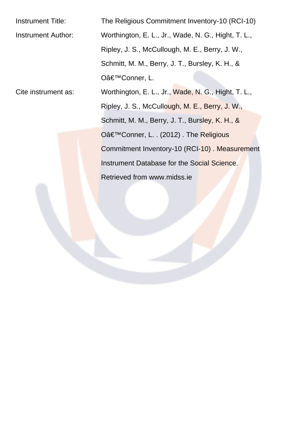| <b>Instrument Title:</b> | The Religious Commitment Inventory-10 (RCI-10)      |
|--------------------------|-----------------------------------------------------|
| Instrument Author:       | Worthington, E. L., Jr., Wade, N. G., Hight, T. L., |
|                          | Ripley, J. S., McCullough, M. E., Berry, J. W.,     |
|                          | Schmitt, M. M., Berry, J. T., Bursley, K. H., &     |
|                          | O'Conner, L.                                        |
| Cite instrument as:      | Worthington, E. L., Jr., Wade, N. G., Hight, T. L., |
|                          | Ripley, J. S., McCullough, M. E., Berry, J. W.,     |
|                          | Schmitt, M. M., Berry, J. T., Bursley, K. H., &     |
|                          | O'Conner, L. . (2012). The Religious                |
|                          | Commitment Inventory-10 (RCI-10). Measurement       |
|                          | Instrument Database for the Social Science.         |
|                          | Retrieved from www.midss.ie                         |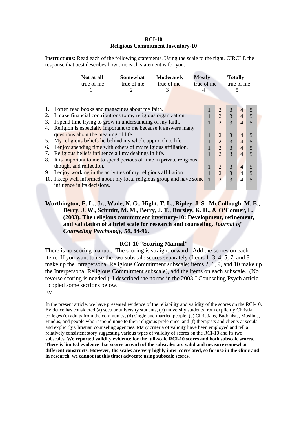## **RCI-10 Religious Commitment Inventory-10**

**Instructions:** Read each of the following statements. Using the scale to the right, CIRCLE the response that best describes how true each statement is for you.

|                                                                      | Not at all<br>true of me                                              | Somewhat<br>true of me | <b>Moderately</b><br>true of me |  | <b>Mostly</b> | true of me     |                | <b>Totally</b><br>true of me |                |   |  |
|----------------------------------------------------------------------|-----------------------------------------------------------------------|------------------------|---------------------------------|--|---------------|----------------|----------------|------------------------------|----------------|---|--|
|                                                                      |                                                                       | $\mathcal{D}_{\cdot}$  | 3<br>4                          |  |               |                |                | 5                            |                |   |  |
|                                                                      |                                                                       |                        |                                 |  |               |                | $\overline{2}$ |                              |                |   |  |
| 1.                                                                   | I often read books and magazines about my faith.                      |                        |                                 |  |               |                |                | 3                            | $\overline{4}$ | 5 |  |
| 2.                                                                   | I make financial contributions to my religious organization.          |                        |                                 |  |               |                | $\overline{2}$ | $\overline{3}$               | $\overline{4}$ | 5 |  |
| 3.                                                                   | I spend time trying to grow in understanding of my faith.             |                        |                                 |  |               |                | $\overline{2}$ | $\overline{3}$               | $\overline{4}$ | 5 |  |
| Religion is especially important to me because it answers many<br>4. |                                                                       |                        |                                 |  |               |                |                |                              |                |   |  |
|                                                                      | questions about the meaning of life.                                  |                        |                                 |  |               |                | 2              | 3                            | $\overline{4}$ | 5 |  |
| 5.                                                                   | My religious beliefs lie behind my whole approach to life.            |                        |                                 |  |               |                | $\overline{2}$ | 3                            | $\overline{4}$ | 5 |  |
| 6.                                                                   | I enjoy spending time with others of my religious affiliation.        |                        |                                 |  |               | $\overline{2}$ | 3              | $\overline{4}$               | 5              |   |  |
| 7.                                                                   | Religious beliefs influence all my dealings in life.                  |                        |                                 |  |               | $\overline{2}$ | 3              | $\overline{4}$               | 5              |   |  |
| 8.                                                                   | It is important to me to spend periods of time in private religious   |                        |                                 |  |               |                |                |                              |                |   |  |
|                                                                      | thought and reflection.                                               |                        |                                 |  |               | 1              | 2              | 3                            | $\overline{4}$ | 5 |  |
| 9.                                                                   | I enjoy working in the activities of my religious affiliation.        |                        |                                 |  |               |                | $\overline{2}$ | 3                            | $\overline{4}$ | 5 |  |
|                                                                      | 10. I keep well informed about my local religious group and have some |                        |                                 |  |               |                | $\mathfrak{D}$ | 3                            | 4              | 5 |  |
|                                                                      | influence in its decisions.                                           |                        |                                 |  |               |                |                |                              |                |   |  |

## **Worthington, E. L., Jr., Wade, N. G., Hight, T. L., Ripley, J. S., McCullough, M. E., Berry, J. W., Schmitt, M. M., Berry, J. T., Bursley, K. H., & O'Conner, L. (2003). The religious commitment inventory-10: Development, refinement, and validation of a brief scale for research and counseling.** *Journal of Counseling Psychology, 50***, 84-96.**

## **RCI-10 "Scoring Manual"**

There is no scoring manual. The scoring is straightforward. Add the scores on each item. If you want to use the two subscale scores separately (Items 1, 3, 4, 5, 7, and 8 make up the Intrapersonal Religious Commitment subscale; items 2, 6, 9, and 10 make up the Interpersonal Religious Commitment subscale), add the items on each subscale. (No reverse scoring is needed.) I described the norms in the 2003 J Counseling Psych article. I copied some sections below.

Ev

In the present article, we have presented evidence of the reliability and validity of the scores on the RCI-10. Evidence has considered (a) secular university students, (b) university students from explicitly Christian colleges (c) adults from the community, (d) single and married people, (e) Christians, Buddhists, Muslims, Hindus, and people who respond none to their religious preference, and (f) therapists and clients at secular and explicitly Christian counseling agencies. Many criteria of validity have been employed and tell a relatively consistent story suggesting various types of validity of scores on the RCI-10 and its two subscales. **We reported validity evidence for the full-scale RCI-10 scores and both subscale scores. There is limited evidence that scores on each of the subscales are valid and measure somewhat different constructs. However, the scales are very highly inter-correlated, so for use in the clinic and in research, we cannot (at this time) advocate using subscale scores.**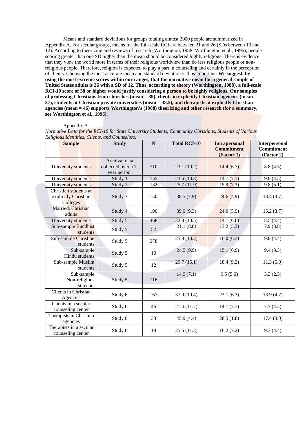Means and standard deviations for groups totaling almost 2000 people are summarized in Appendix A. For secular groups, means for the full-scale RCI are between 21 and 26 (SDs between 10 and 12). According to theorizing and reviews of research (Worthington, 1988; Worthington et al., 1996), people scoring greater than one SD higher than the mean should be considered highly religious. There is evidence that they view the world more in terms of their religious worldview than do less religious people or nonreligious people. Therefore, religion is expected to play a part in counseling and certainly in the perception of clients. Choosing the most accurate mean and standard deviation is thus important. **We suggest, by using the most extreme scores within our ranges, that the normative mean for a general sample of United States adults is 26 with a SD of 12. Thus, according to theory (Worthington, 1988), a full-scale RCI-10 score of 38 or higher would justify considering a person to be highly religious. Our samples of professing Christians from churches (mean = 39), clients in explicitly Christian agencies (mean = 37), students at Christian private universities (mean = 38.5), and therapists at explicitly Christian agencies (mean = 46) supports Worthington's (1988) theorizing and other research (for a summary, see Worthington et al., 1996).**

## Appendix A

| Normative Data for the RCI-10 for State University Students, Community Christians, Students of Various |  |  |  |
|--------------------------------------------------------------------------------------------------------|--|--|--|
| Religious Identities, Clients, and Counselors.                                                         |  |  |  |
|                                                                                                        |  |  |  |

| <b>Sample</b>                                             | <b>Study</b>                                         | $\boldsymbol{N}$ | <b>Total RCI-10</b> | <b>Intrapersonal</b>            | <b>Interpersonal</b>            |
|-----------------------------------------------------------|------------------------------------------------------|------------------|---------------------|---------------------------------|---------------------------------|
|                                                           |                                                      |                  |                     | <b>Commitment</b><br>(Factor 1) | <b>Commitment</b><br>(Factor 2) |
| University students                                       | Archival data<br>collected over a 7-<br>year period. | 710              | 23.1(10.2)          | 14.4(6.7)                       | 8.8(4.3)                        |
| University students                                       | Study 1                                              | 155              | 23.6(10.8)          | 14.7(7.1)                       | 9.0(4.5)                        |
| University students                                       | Study 2                                              | 132              | 25.7(11.9)          | 15.9(7.3)                       | 9.8(5.1)                        |
| Christian students at<br>explicitly Christian<br>Colleges | Study 3                                              | 150              | 38.5(7.9)           | 24.6(4.9)                       | 13.4(3.7)                       |
| Married, Christian<br>adults                              | Study 4                                              | 190              | 39.0(9.3)           | 24.0(5.9)                       | 15.2(3.7)                       |
| University students                                       | Study 5                                              | 468              | 22.8(10.5)          | 14.1(6.6)                       | 8.5(4.4)                        |
| Sub-sample Buddhist<br>students                           | Study 5                                              | 52               | 21.1(8.8)           | 13.2(5.3)                       | 7.9(3.8)                        |
| Sub-sample Christian<br>students                          | Study 5                                              | 278              | 25.8(10.3)          | 16.0(6.3)                       | 9.8(4.4)                        |
| Sub-sample<br>Hindu students                              | Study 5                                              | 10               | 24.5(9.9)           | 15.1(6.9)                       | 9.4(3.3)                        |
| Sub-sample Muslim<br>students                             | Study 5                                              | 12               | 29.7(15.1)          | 18.4(9.2)                       | 11.3(6.0)                       |
| Sub-sample<br>Non-religious<br>students                   | Study 5                                              | 116              | 14.9(7.1)           | 9.5(5.0)                        | 5.3(2.5)                        |
| Clients in Christian<br>Agencies                          | Study 6                                              | 167              | 37.0 (10.4)         | 23.1(6.3)                       | 13.9(4.7)                       |
| Clients in a secular<br>counseling center                 | Study 6                                              | 46               | 21.4(11.7)          | 14.1(7.7)                       | 7.3(4.5)                        |
| Therapists in Christian<br>agencies                       | Study 6                                              | 33               | 45.9(4.4)           | 28.5(1.8)                       | 17.4(3.0)                       |
| Therapists in a secular<br>counseling center              | Study 6                                              | 18               | 25.5(11.3)          | 16.2(7.2)                       | 9.3(4.4)                        |